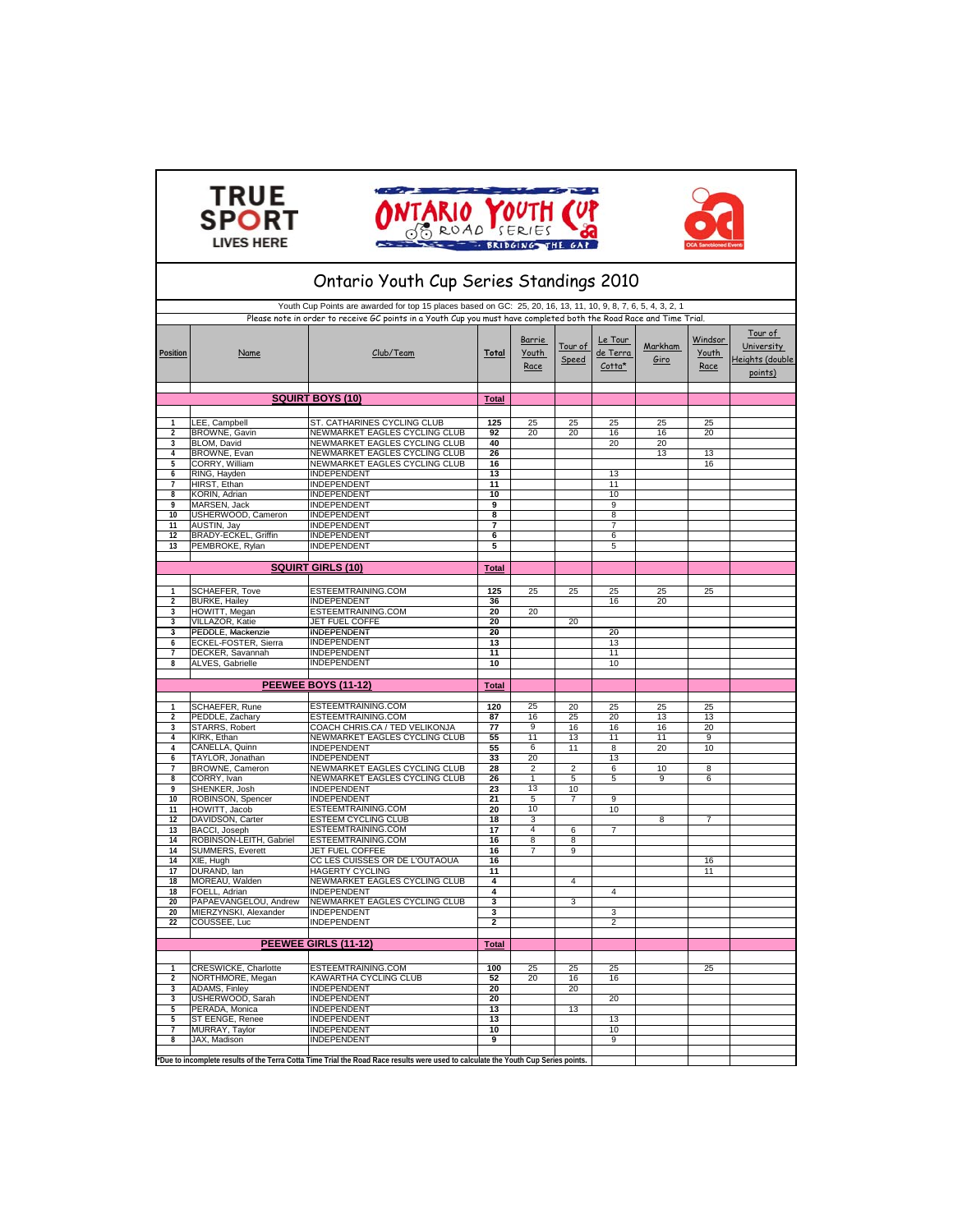





| Ontario Youth Cup Series Standings 2010  |                                                |                                                                                                                                                                                                                                      |                 |                         |                         |                               |                 |                          |                                                     |  |
|------------------------------------------|------------------------------------------------|--------------------------------------------------------------------------------------------------------------------------------------------------------------------------------------------------------------------------------------|-----------------|-------------------------|-------------------------|-------------------------------|-----------------|--------------------------|-----------------------------------------------------|--|
|                                          |                                                | Youth Cup Points are awarded for top 15 places based on GC: 25, 20, 16, 13, 11, 10, 9, 8, 7, 6, 5, 4, 3, 2, 1<br>Please note in order to receive GC points in a Youth Cup you must have completed both the Road Race and Time Trial. |                 |                         |                         |                               |                 |                          |                                                     |  |
| Position                                 | Name                                           | Club/Team                                                                                                                                                                                                                            | <b>Total</b>    | Barrie<br>Youth<br>Race | <u>Tour of</u><br>Speed | Le Tour<br>de Terra<br>Cotta* | Markham<br>Giro | Windsor<br>Youth<br>Race | Tour of<br>University<br>Heights (double<br>points) |  |
|                                          |                                                | <b>SQUIRT BOYS (10)</b>                                                                                                                                                                                                              | <b>Total</b>    |                         |                         |                               |                 |                          |                                                     |  |
|                                          |                                                |                                                                                                                                                                                                                                      |                 |                         |                         |                               |                 |                          |                                                     |  |
| 1<br>$\overline{2}$                      | LEE, Campbell<br>BROWNE, Gavin                 | ST. CATHARINES CYCLING CLUB<br>NEWMARKET EAGLES CYCLING CLUB                                                                                                                                                                         | 125<br>92       | 25<br>20                | 25<br>20                | 25<br>16                      | 25<br>16        | 25<br>20                 |                                                     |  |
| 3                                        | <b>BLOM, David</b>                             | NEWMARKET EAGLES CYCLING CLUB                                                                                                                                                                                                        | 40              |                         |                         | 20                            | 20              |                          |                                                     |  |
| 4                                        | BROWNE, Evan                                   | NEWMARKET EAGLES CYCLING CLUB                                                                                                                                                                                                        | 26              |                         |                         |                               | 13              | 13                       |                                                     |  |
| 5                                        | CORRY, William                                 | NEWMARKET EAGLES CYCLING CLUB                                                                                                                                                                                                        | 16              |                         |                         |                               |                 | 16                       |                                                     |  |
| 6                                        | RING, Hayden                                   | INDEPENDENT                                                                                                                                                                                                                          | 13              |                         |                         | 13                            |                 |                          |                                                     |  |
| $\overline{7}$                           | HIRST, Ethan                                   | <b>INDEPENDENT</b>                                                                                                                                                                                                                   | 11<br>10        |                         |                         | 11<br>10                      |                 |                          |                                                     |  |
| 8<br>9                                   | KORIN, Adrian<br>MARSEN, Jack                  | <b>INDEPENDENT</b><br>INDEPENDENT                                                                                                                                                                                                    | 9               |                         |                         | 9                             |                 |                          |                                                     |  |
| 10                                       | USHERWOOD, Cameron                             | <b>INDEPENDENT</b>                                                                                                                                                                                                                   | 8               |                         |                         | 8                             |                 |                          |                                                     |  |
| $\overline{11}$                          | AUSTIN, Jay                                    | <b>INDEPENDENT</b>                                                                                                                                                                                                                   | 7               |                         |                         | $\overline{7}$                |                 |                          |                                                     |  |
| 12                                       | BRADY-ECKEL, Griffin                           | <b>INDEPENDENT</b>                                                                                                                                                                                                                   | 6               |                         |                         | 6                             |                 |                          |                                                     |  |
| 13                                       | PEMBROKE, Rylan                                | <b>INDEPENDENT</b>                                                                                                                                                                                                                   | 5               |                         |                         | 5                             |                 |                          |                                                     |  |
|                                          |                                                | <b>SQUIRT GIRLS (10)</b>                                                                                                                                                                                                             | <b>Total</b>    |                         |                         |                               |                 |                          |                                                     |  |
|                                          |                                                |                                                                                                                                                                                                                                      |                 |                         |                         |                               |                 |                          |                                                     |  |
| $\mathbf{1}$<br>$\overline{\phantom{a}}$ | <b>SCHAEFER, Tove</b>                          | ESTEEMTRAINING.COM<br><b>INDEPENDENT</b>                                                                                                                                                                                             | 125<br>36       | 25                      | 25                      | 25<br>16                      | 25              | 25                       |                                                     |  |
| 3                                        | <b>BURKE, Hailey</b><br>HOWITT, Megan          | ESTEEMTRAINING.COM                                                                                                                                                                                                                   | 20              | 20                      |                         |                               | 20              |                          |                                                     |  |
| 3                                        | VILLAZOR, Katie                                | <b>JET FUEL COFFE</b>                                                                                                                                                                                                                | 20              |                         | 20                      |                               |                 |                          |                                                     |  |
| 3                                        | PEDDLE, Mackenzie                              | <b>INDEPENDENT</b>                                                                                                                                                                                                                   | 20              |                         |                         | 20                            |                 |                          |                                                     |  |
| 6                                        | ECKEL-FOSTER, Sierra                           | INDEPENDENT                                                                                                                                                                                                                          | 13              |                         |                         | 13                            |                 |                          |                                                     |  |
| 7                                        | DECKER, Savannah                               | <b>INDEPENDENT</b>                                                                                                                                                                                                                   | 11              |                         |                         | 11                            |                 |                          |                                                     |  |
| 8                                        | ALVES, Gabrielle                               | <b>INDEPENDENT</b>                                                                                                                                                                                                                   | 10              |                         |                         | 10                            |                 |                          |                                                     |  |
|                                          |                                                | <b>PEEWEE BOYS (11-12)</b>                                                                                                                                                                                                           | <b>Total</b>    |                         |                         |                               |                 |                          |                                                     |  |
| 1                                        | SCHAEFER, Rune                                 | ESTEEMTRAINING.COM                                                                                                                                                                                                                   | 120             | 25                      | 20                      | 25                            | 25              | 25                       |                                                     |  |
| $\overline{\phantom{a}}$                 | PEDDLE, Zachary                                | ESTEEMTRAINING.COM                                                                                                                                                                                                                   | 87              | 16                      | 25                      | 20                            | 13              | 13                       |                                                     |  |
| 3                                        | STARRS, Robert                                 | COACH CHRIS.CA / TED VELIKONJA                                                                                                                                                                                                       | 77              | 9                       | 16                      | 16                            | 16              | 20                       |                                                     |  |
| 4                                        | KIRK, Ethan                                    | NEWMARKET EAGLES CYCLING CLUB                                                                                                                                                                                                        | 55              | 11                      | 13                      | 11                            | 11              | 9                        |                                                     |  |
| 4                                        | CANELLA, Quinn                                 | INDEPENDENT                                                                                                                                                                                                                          | 55              | 6                       | 11                      | 8                             | 20              | 10                       |                                                     |  |
| 6                                        | TAYLOR, Jonathan                               | INDEPENDENT                                                                                                                                                                                                                          | 33              | 20                      |                         | 13                            |                 |                          |                                                     |  |
| 7<br>$\mathbf{R}$                        | BROWNE, Cameron<br>CORRY, Ivan                 | NEWMARKET EAGLES CYCLING CLUB<br>NEWMARKET EAGLES CYCLING CLUB                                                                                                                                                                       | 28<br>26        | 2<br>$\mathbf{1}$       | $\overline{2}$<br>5     | 6<br>5                        | 10<br>9         | 8<br>6                   |                                                     |  |
| 9                                        | SHENKER, Josh                                  | <b>INDEPENDENT</b>                                                                                                                                                                                                                   | 23              | 13                      | 10                      |                               |                 |                          |                                                     |  |
| 10                                       | ROBINSON, Spencer                              | <b>INDEPENDENT</b>                                                                                                                                                                                                                   | 21              | 5                       | 7                       | 9                             |                 |                          |                                                     |  |
| 11                                       | HOWITT, Jacob                                  | ESTEEMTRAINING.COM                                                                                                                                                                                                                   | 20              | 10                      |                         | 10                            |                 |                          |                                                     |  |
| 12                                       | DAVIDSON, Carter                               | <b>ESTEEM CYCLING CLUB</b>                                                                                                                                                                                                           | 18              | 3                       |                         |                               | 8               | 7                        |                                                     |  |
| 13                                       | BACCI, Joseph                                  | ESTEEMTRAINING.COM                                                                                                                                                                                                                   | 17              | 4                       | 6                       | 7                             |                 |                          |                                                     |  |
|                                          |                                                |                                                                                                                                                                                                                                      |                 |                         |                         |                               |                 |                          |                                                     |  |
| 14                                       | ROBINSON-LEITH, Gabriel                        | ESTEEMTRAINING.COM                                                                                                                                                                                                                   | 16              | 8                       | 8                       |                               |                 |                          |                                                     |  |
| 14                                       | <b>SUMMERS, Everett</b>                        | <b>JET FUEL COFFEE</b>                                                                                                                                                                                                               | 16              | 7                       | 9                       |                               |                 |                          |                                                     |  |
| 14                                       | XIE, Hugh                                      | CC LES CUISSES OR DE L'OUTAOUA                                                                                                                                                                                                       | 16              |                         |                         |                               |                 | 16                       |                                                     |  |
| 17                                       | DURAND, lan                                    | <b>HAGERTY CYCLING</b>                                                                                                                                                                                                               | $\overline{11}$ |                         | $\Delta$                |                               |                 | $\overline{11}$          |                                                     |  |
| 18<br>18                                 | MOREAU, Walden<br>FOELL, Adrian                | NEWMARKET EAGLES CYCLING CLUB<br><b>INDEPENDENT</b>                                                                                                                                                                                  | 4<br>4          |                         |                         | 4                             |                 |                          |                                                     |  |
| 20                                       |                                                | NEWMARKET EAGLES CYCLING CLUB                                                                                                                                                                                                        | 3               |                         | 3                       |                               |                 |                          |                                                     |  |
| 20                                       | PAPAEVANGELOU, Andrew<br>MIERZYNSKI, Alexander | <b>INDEPENDENT</b>                                                                                                                                                                                                                   | 3               |                         |                         | 3                             |                 |                          |                                                     |  |
| 22                                       | COUSSEE, Luc                                   | INDEPENDENT                                                                                                                                                                                                                          | 2               |                         |                         | 2                             |                 |                          |                                                     |  |
|                                          |                                                | PEEWEE GIRLS (11-12)                                                                                                                                                                                                                 | <b>Total</b>    |                         |                         |                               |                 |                          |                                                     |  |
| $\overline{1}$                           |                                                |                                                                                                                                                                                                                                      |                 | 25                      |                         |                               |                 |                          |                                                     |  |
| $\overline{\phantom{a}}$                 | <b>CRESWICKE, Charlotte</b>                    | ESTEEMTRAINING.COM                                                                                                                                                                                                                   | 100             | 20                      | 25<br>16                | 25<br>16                      |                 | 25                       |                                                     |  |
| 3                                        | NORTHMORE, Megan<br>ADAMS, Finley              | KAWARTHA CYCLING CLUB<br>INDEPENDENT                                                                                                                                                                                                 | 52<br>20        |                         | 20                      |                               |                 |                          |                                                     |  |
| 3                                        | USHERWOOD, Sarah                               | <b>INDEPENDENT</b>                                                                                                                                                                                                                   | 20              |                         |                         | 20                            |                 |                          |                                                     |  |
| 5                                        | PERADA, Monica                                 | INDEPENDENT                                                                                                                                                                                                                          | 13              |                         | 13                      |                               |                 |                          |                                                     |  |
| 5                                        | ST EENGE, Renee                                | <b>INDEPENDENT</b>                                                                                                                                                                                                                   | 13              |                         |                         | 13                            |                 |                          |                                                     |  |
| 7<br>8                                   | MURRAY, Taylor<br>JAX, Madison                 | <b>INDEPENDENT</b><br><b>INDEPENDENT</b>                                                                                                                                                                                             | 10<br>g         |                         |                         | 10<br>9                       |                 |                          |                                                     |  |